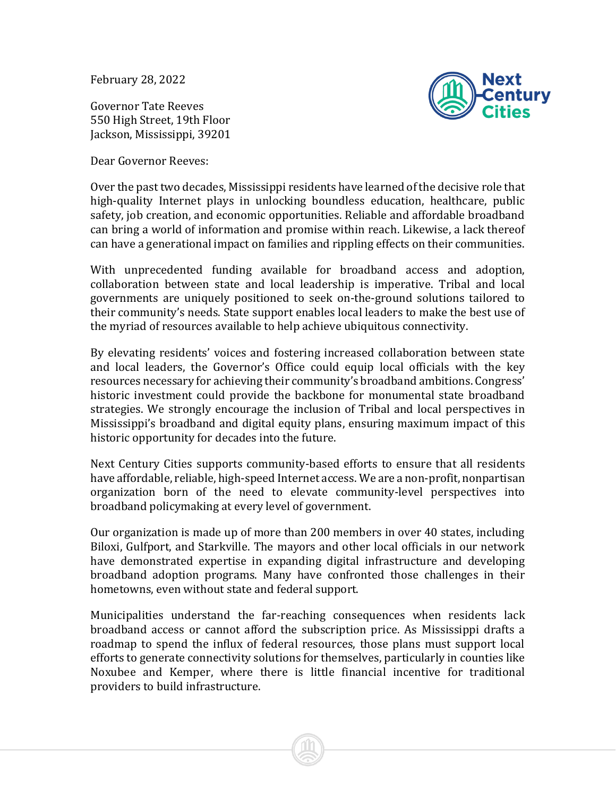February 28, 2022

Governor Tate Reeves 550 High Street, 19th Floor Jackson, Mississippi, 39201

Dear Governor Reeves:



Over the past two decades, Mississippi residents have learned of the decisive role that high-quality Internet plays in unlocking boundless education, healthcare, public safety, job creation, and economic opportunities. Reliable and affordable broadband can bring a world of information and promise within reach. Likewise, a lack thereof can have a generational impact on families and rippling effects on their communities.

With unprecedented funding available for broadband access and adoption, collaboration between state and local leadership is imperative. Tribal and local governments are uniquely positioned to seek on-the-ground solutions tailored to their community's needs. State support enables local leaders to make the best use of the myriad of resources available to help achieve ubiquitous connectivity.

By elevating residents' voices and fostering increased collaboration between state and local leaders, the Governor's Office could equip local officials with the key resources necessary for achieving their community's broadband ambitions. Congress' historic investment could provide the backbone for monumental state broadband strategies. We strongly encourage the inclusion of Tribal and local perspectives in Mississippi's broadband and digital equity plans, ensuring maximum impact of this historic opportunity for decades into the future.

Next Century Cities supports community-based efforts to ensure that all residents have affordable, reliable, high-speed Internet access. We are a non-profit, nonpartisan organization born of the need to elevate community-level perspectives into broadband policymaking at every level of government.

Our organization is made up of more than 200 members in over 40 states, including Biloxi, Gulfport, and Starkville. The mayors and other local officials in our network have demonstrated expertise in expanding digital infrastructure and developing broadband adoption programs. Many have confronted those challenges in their hometowns, even without state and federal support.

Municipalities understand the far-reaching consequences when residents lack broadband access or cannot afford the subscription price. As Mississippi drafts a roadmap to spend the influx of federal resources, those plans must support local efforts to generate connectivity solutions for themselves, particularly in counties like Noxubee and Kemper, where there is little financial incentive for traditional providers to build infrastructure.